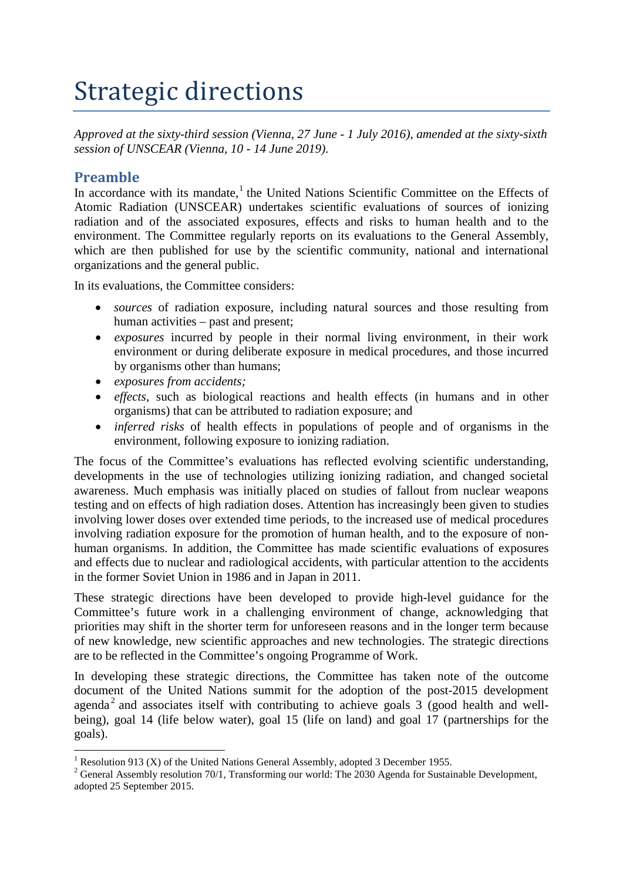# Strategic directions

*Approved at the sixty-third session (Vienna, 27 June - 1 July 2016), amended at the sixty-sixth session of UNSCEAR (Vienna, 10 - 14 June 2019).*

## **Preamble**

In accordance with its mandate,<sup>[1](#page-0-0)</sup> the United Nations Scientific Committee on the Effects of Atomic Radiation (UNSCEAR) undertakes scientific evaluations of sources of ionizing radiation and of the associated exposures, effects and risks to human health and to the environment. The Committee regularly reports on its evaluations to the General Assembly, which are then published for use by the scientific community, national and international organizations and the general public.

In its evaluations, the Committee considers:

- *sources* of radiation exposure, including natural sources and those resulting from human activities – past and present;
- *exposures* incurred by people in their normal living environment, in their work environment or during deliberate exposure in medical procedures, and those incurred by organisms other than humans;
- *exposures from accidents;*
- *effects*, such as biological reactions and health effects (in humans and in other organisms) that can be attributed to radiation exposure; and
- *inferred risks* of health effects in populations of people and of organisms in the environment, following exposure to ionizing radiation.

The focus of the Committee's evaluations has reflected evolving scientific understanding, developments in the use of technologies utilizing ionizing radiation, and changed societal awareness. Much emphasis was initially placed on studies of fallout from nuclear weapons testing and on effects of high radiation doses. Attention has increasingly been given to studies involving lower doses over extended time periods, to the increased use of medical procedures involving radiation exposure for the promotion of human health, and to the exposure of nonhuman organisms. In addition, the Committee has made scientific evaluations of exposures and effects due to nuclear and radiological accidents, with particular attention to the accidents in the former Soviet Union in 1986 and in Japan in 2011.

These strategic directions have been developed to provide high-level guidance for the Committee's future work in a challenging environment of change, acknowledging that priorities may shift in the shorter term for unforeseen reasons and in the longer term because of new knowledge, new scientific approaches and new technologies. The strategic directions are to be reflected in the Committee's ongoing Programme of Work.

In developing these strategic directions, the Committee has taken note of the outcome document of the United Nations summit for the adoption of the post-2015 development agenda<sup>[2](#page-0-1)</sup> and associates itself with contributing to achieve goals 3 (good health and wellbeing), goal 14 (life below water), goal 15 (life on land) and goal 17 (partnerships for the goals).

<span id="page-0-1"></span><span id="page-0-0"></span><sup>&</sup>lt;sup>1</sup> Resolution 913 (X) of the United Nations General Assembly, adopted 3 December 1955.<br><sup>2</sup> General Assembly resolution 70/1, Transforming our world: The 2030 Agenda for Sustainable Development, adopted 25 September 2015.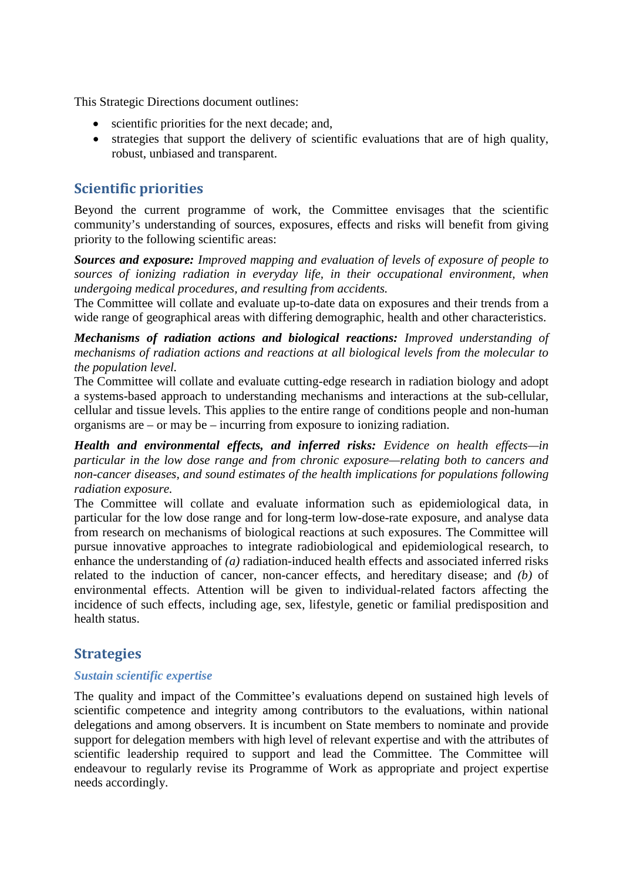This Strategic Directions document outlines:

- scientific priorities for the next decade; and,
- strategies that support the delivery of scientific evaluations that are of high quality, robust, unbiased and transparent.

## **Scientific priorities**

Beyond the current programme of work, the Committee envisages that the scientific community's understanding of sources, exposures, effects and risks will benefit from giving priority to the following scientific areas:

*Sources and exposure: Improved mapping and evaluation of levels of exposure of people to sources of ionizing radiation in everyday life, in their occupational environment, when undergoing medical procedures, and resulting from accidents.*

The Committee will collate and evaluate up-to-date data on exposures and their trends from a wide range of geographical areas with differing demographic, health and other characteristics.

*Mechanisms of radiation actions and biological reactions: Improved understanding of mechanisms of radiation actions and reactions at all biological levels from the molecular to the population level.*

The Committee will collate and evaluate cutting-edge research in radiation biology and adopt a systems-based approach to understanding mechanisms and interactions at the sub-cellular, cellular and tissue levels. This applies to the entire range of conditions people and non-human organisms are – or may be – incurring from exposure to ionizing radiation.

*Health and environmental effects, and inferred risks: Evidence on health effects—in particular in the low dose range and from chronic exposure—relating both to cancers and non-cancer diseases, and sound estimates of the health implications for populations following radiation exposure.*

The Committee will collate and evaluate information such as epidemiological data, in particular for the low dose range and for long-term low-dose-rate exposure, and analyse data from research on mechanisms of biological reactions at such exposures. The Committee will pursue innovative approaches to integrate radiobiological and epidemiological research, to enhance the understanding of *(a)* radiation-induced health effects and associated inferred risks related to the induction of cancer, non-cancer effects, and hereditary disease; and *(b)* of environmental effects. Attention will be given to individual-related factors affecting the incidence of such effects, including age, sex, lifestyle, genetic or familial predisposition and health status.

## **Strategies**

#### *Sustain scientific expertise*

The quality and impact of the Committee's evaluations depend on sustained high levels of scientific competence and integrity among contributors to the evaluations, within national delegations and among observers. It is incumbent on State members to nominate and provide support for delegation members with high level of relevant expertise and with the attributes of scientific leadership required to support and lead the Committee. The Committee will endeavour to regularly revise its Programme of Work as appropriate and project expertise needs accordingly.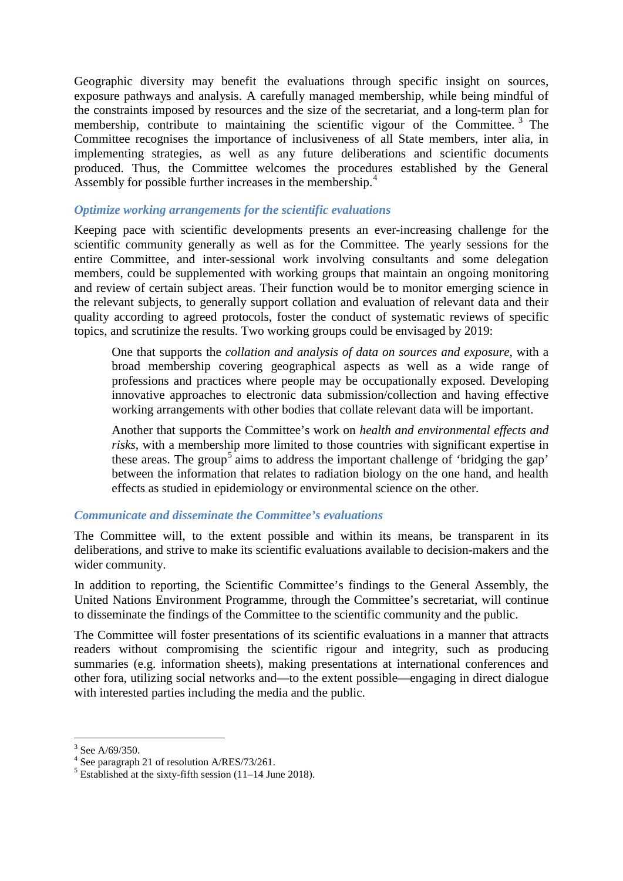Geographic diversity may benefit the evaluations through specific insight on sources, exposure pathways and analysis. A carefully managed membership, while being mindful of the constraints imposed by resources and the size of the secretariat, and a long-term plan for membership, contribute to maintaining the scientific vigour of the Committee.<sup>[3](#page-2-0)</sup> The Committee recognises the importance of inclusiveness of all State members, inter alia, in implementing strategies, as well as any future deliberations and scientific documents produced. Thus, the Committee welcomes the procedures established by the General Assembly for possible further increases in the membership.<sup>[4](#page-2-1)</sup>

### *Optimize working arrangements for the scientific evaluations*

Keeping pace with scientific developments presents an ever-increasing challenge for the scientific community generally as well as for the Committee. The yearly sessions for the entire Committee, and inter-sessional work involving consultants and some delegation members, could be supplemented with working groups that maintain an ongoing monitoring and review of certain subject areas. Their function would be to monitor emerging science in the relevant subjects, to generally support collation and evaluation of relevant data and their quality according to agreed protocols, foster the conduct of systematic reviews of specific topics, and scrutinize the results. Two working groups could be envisaged by 2019:

One that supports the *collation and analysis of data on sources and exposure,* with a broad membership covering geographical aspects as well as a wide range of professions and practices where people may be occupationally exposed. Developing innovative approaches to electronic data submission/collection and having effective working arrangements with other bodies that collate relevant data will be important.

Another that supports the Committee's work on *health and environmental effects and risks*, with a membership more limited to those countries with significant expertise in these areas. The group<sup>[5](#page-2-2)</sup> aims to address the important challenge of 'bridging the gap' between the information that relates to radiation biology on the one hand, and health effects as studied in epidemiology or environmental science on the other.

#### *Communicate and disseminate the Committee's evaluations*

The Committee will, to the extent possible and within its means, be transparent in its deliberations, and strive to make its scientific evaluations available to decision-makers and the wider community.

In addition to reporting, the Scientific Committee's findings to the General Assembly, the United Nations Environment Programme, through the Committee's secretariat, will continue to disseminate the findings of the Committee to the scientific community and the public.

The Committee will foster presentations of its scientific evaluations in a manner that attracts readers without compromising the scientific rigour and integrity, such as producing summaries (e.g. information sheets), making presentations at international conferences and other fora, utilizing social networks and—to the extent possible—engaging in direct dialogue with interested parties including the media and the public.

<span id="page-2-2"></span>

<span id="page-2-1"></span><span id="page-2-0"></span><sup>&</sup>lt;sup>3</sup> See A/69/350.<br>
<sup>4</sup> See paragraph 21 of resolution A/RES/73/261.<br>
<sup>5</sup> Established at the sixty-fifth session (11–14 June 2018).